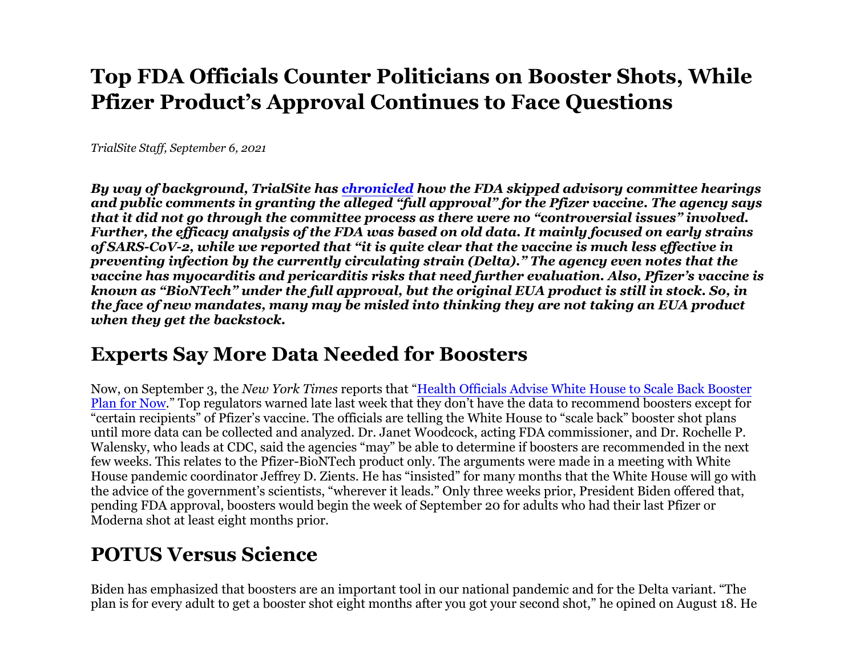## **Top FDA Officials Counter Politicians on Booster Shots, WhilePfizer Product's Approval Continues to Face Questions**

*TrialSite Staff, September 6, 2021*

*By way of background, TrialSite has chronicled how the FDA skipped advisory committee hearings and public comments in granting the alleged "full approval" for the Pfizer vaccine. The agency says that it did not go through the committee process as there were no "controversial issues" involved. Further, the efficacy analysis of the FDA was based on old data. It mainly focused on early strains of SARS-CoV-2, while we reported that "it is quite clear that the vaccine is much less effective in preventing infection by the currently circulating strain (Delta)." The agency even notes that the vaccine has myocarditis and pericarditis risks that need further evaluation. Also, Pfizer's vaccine isknown as "BioNTech" under the full approval, but the original EUA product is still in stock. So, in the face of new mandates, many may be misled into thinking they are not taking an EUA product when they get the backstock.*

## **Experts Say More Data Needed for Boosters**

Now, on September 3, the *New York Times* reports that "Health Officials Advise White House to Scale Back Booster  $\frac{\rm Plan\ for\ Now.}$  Top regulators warned late last week that they don't have the data to recommend boosters except for "certain recipients" of Pfizer's vaccine. The officials are telling the White House to "scale back" booster shot plans until more data can be collected and analyzed. Dr. Janet Woodcock, acting FDA commissioner, and Dr. Rochelle P. Walensky, who leads at CDC, said the agencies "may" be able to determine if boosters are recommended in the next few weeks. This relates to the Pfizer-BioNTech product only. The arguments were made in a meeting with White House pandemic coordinator Jeffrey D. Zients. He has "insisted" for many months that the White House will go withthe advice of the government's scientists, "wherever it leads." Only three weeks prior, President Biden offered that, pending FDA approval, boosters would begin the week of September 20 for adults who had their last Pfizer or Moderna shot at least eight months prior.

## **POTUS Versus Science**

Biden has emphasized that boosters are an important tool in our national pandemic and for the Delta variant. "The plan is for every adult to get a booster shot eight months after you got your second shot," he opined on August 18. He